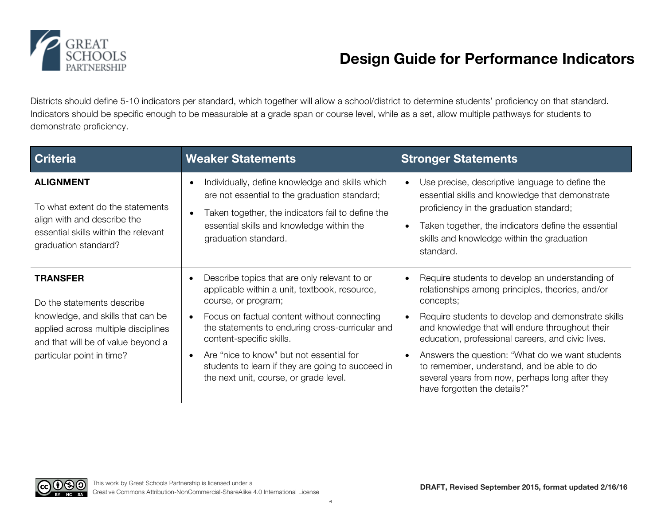

## **Design Guide for Performance Indicators**

Districts should define 5-10 indicators per standard, which together will allow a school/district to determine students' proficiency on that standard. Indicators should be specific enough to be measurable at a grade span or course level, while as a set, allow multiple pathways for students to demonstrate proficiency.

| <b>Criteria</b>                                                                                                                                                                              | <b>Weaker Statements</b>                                                                                                                                                                                                                                                                                                                                                                                   | <b>Stronger Statements</b>                                                                                                                                                                                                                                                                                                                                                                                                                                         |
|----------------------------------------------------------------------------------------------------------------------------------------------------------------------------------------------|------------------------------------------------------------------------------------------------------------------------------------------------------------------------------------------------------------------------------------------------------------------------------------------------------------------------------------------------------------------------------------------------------------|--------------------------------------------------------------------------------------------------------------------------------------------------------------------------------------------------------------------------------------------------------------------------------------------------------------------------------------------------------------------------------------------------------------------------------------------------------------------|
| <b>ALIGNMENT</b><br>To what extent do the statements<br>align with and describe the<br>essential skills within the relevant<br>graduation standard?                                          | Individually, define knowledge and skills which<br>are not essential to the graduation standard;<br>Taken together, the indicators fail to define the<br>essential skills and knowledge within the<br>graduation standard.                                                                                                                                                                                 | Use precise, descriptive language to define the<br>essential skills and knowledge that demonstrate<br>proficiency in the graduation standard;<br>Taken together, the indicators define the essential<br>skills and knowledge within the graduation<br>standard.                                                                                                                                                                                                    |
| <b>TRANSFER</b><br>Do the statements describe<br>knowledge, and skills that can be<br>applied across multiple disciplines<br>and that will be of value beyond a<br>particular point in time? | Describe topics that are only relevant to or<br>applicable within a unit, textbook, resource,<br>course, or program;<br>Focus on factual content without connecting<br>$\bullet$<br>the statements to enduring cross-curricular and<br>content-specific skills.<br>Are "nice to know" but not essential for<br>students to learn if they are going to succeed in<br>the next unit, course, or grade level. | Require students to develop an understanding of<br>relationships among principles, theories, and/or<br>concepts;<br>Require students to develop and demonstrate skills<br>and knowledge that will endure throughout their<br>education, professional careers, and civic lives.<br>Answers the question: "What do we want students<br>to remember, understand, and be able to do<br>several years from now, perhaps long after they<br>have forgotten the details?" |

 $\overline{A}$